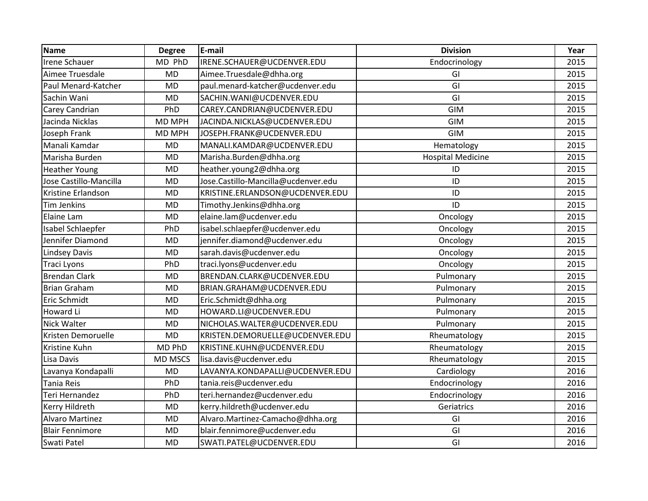| <b>Name</b>            | <b>Degree</b>  | E-mail                              | <b>Division</b>          | Year |
|------------------------|----------------|-------------------------------------|--------------------------|------|
| <b>Irene Schauer</b>   | MD PhD         | IRENE.SCHAUER@UCDENVER.EDU          | Endocrinology            | 2015 |
| Aimee Truesdale        | <b>MD</b>      | Aimee.Truesdale@dhha.org            | GI                       | 2015 |
| Paul Menard-Katcher    | <b>MD</b>      | paul.menard-katcher@ucdenver.edu    | GI                       | 2015 |
| Sachin Wani            | <b>MD</b>      | SACHIN.WANI@UCDENVER.EDU            | GI                       | 2015 |
| Carey Candrian         | PhD            | CAREY.CANDRIAN@UCDENVER.EDU         | <b>GIM</b>               | 2015 |
| Jacinda Nicklas        | <b>MD MPH</b>  | JACINDA.NICKLAS@UCDENVER.EDU        | <b>GIM</b>               | 2015 |
| Joseph Frank           | <b>MD MPH</b>  | JOSEPH.FRANK@UCDENVER.EDU           | <b>GIM</b>               | 2015 |
| Manali Kamdar          | <b>MD</b>      | MANALI.KAMDAR@UCDENVER.EDU          | Hematology               | 2015 |
| Marisha Burden         | <b>MD</b>      | Marisha.Burden@dhha.org             | <b>Hospital Medicine</b> | 2015 |
| <b>Heather Young</b>   | <b>MD</b>      | heather.young2@dhha.org             | ID                       | 2015 |
| Jose Castillo-Mancilla | <b>MD</b>      | Jose.Castillo-Mancilla@ucdenver.edu | ID                       | 2015 |
| Kristine Erlandson     | <b>MD</b>      | KRISTINE.ERLANDSON@UCDENVER.EDU     | ID                       | 2015 |
| <b>Tim Jenkins</b>     | <b>MD</b>      | Timothy.Jenkins@dhha.org            | ID                       | 2015 |
| Elaine Lam             | <b>MD</b>      | elaine.lam@ucdenver.edu             | Oncology                 | 2015 |
| Isabel Schlaepfer      | PhD            | isabel.schlaepfer@ucdenver.edu      | Oncology                 | 2015 |
| Jennifer Diamond       | <b>MD</b>      | jennifer.diamond@ucdenver.edu       | Oncology                 | 2015 |
| <b>Lindsey Davis</b>   | <b>MD</b>      | sarah.davis@ucdenver.edu            | Oncology                 | 2015 |
| <b>Traci Lyons</b>     | PhD            | traci.lyons@ucdenver.edu            | Oncology                 | 2015 |
| <b>Brendan Clark</b>   | <b>MD</b>      | BRENDAN.CLARK@UCDENVER.EDU          | Pulmonary                | 2015 |
| <b>Brian Graham</b>    | <b>MD</b>      | BRIAN.GRAHAM@UCDENVER.EDU           | Pulmonary                | 2015 |
| Eric Schmidt           | <b>MD</b>      | Eric.Schmidt@dhha.org               | Pulmonary                | 2015 |
| Howard Li              | <b>MD</b>      | HOWARD.LI@UCDENVER.EDU              | Pulmonary                | 2015 |
| Nick Walter            | <b>MD</b>      | NICHOLAS.WALTER@UCDENVER.EDU        | Pulmonary                | 2015 |
| Kristen Demoruelle     | <b>MD</b>      | KRISTEN.DEMORUELLE@UCDENVER.EDU     | Rheumatology             | 2015 |
| Kristine Kuhn          | MD PhD         | KRISTINE.KUHN@UCDENVER.EDU          | Rheumatology             | 2015 |
| Lisa Davis             | <b>MD MSCS</b> | lisa.davis@ucdenver.edu             | Rheumatology             | 2015 |
| Lavanya Kondapalli     | <b>MD</b>      | LAVANYA.KONDAPALLI@UCDENVER.EDU     | Cardiology               | 2016 |
| <b>Tania Reis</b>      | PhD            | tania.reis@ucdenver.edu             | Endocrinology            | 2016 |
| Teri Hernandez         | PhD            | teri.hernandez@ucdenver.edu         | Endocrinology            | 2016 |
| Kerry Hildreth         | <b>MD</b>      | kerry.hildreth@ucdenver.edu         | Geriatrics               | 2016 |
| <b>Alvaro Martinez</b> | <b>MD</b>      | Alvaro.Martinez-Camacho@dhha.org    | GI                       | 2016 |
| <b>Blair Fennimore</b> | <b>MD</b>      | blair.fennimore@ucdenver.edu        | GI                       | 2016 |
| Swati Patel            | <b>MD</b>      | SWATI.PATEL@UCDENVER.EDU            | GI                       | 2016 |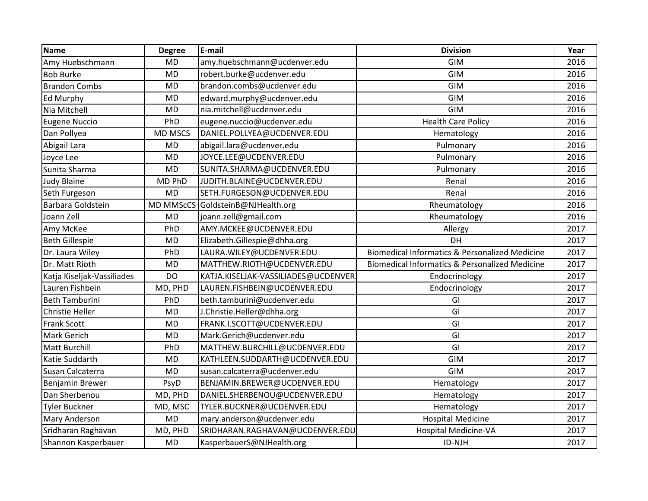| Name                       | <b>Degree</b>  | E-mail                               | <b>Division</b>                                           | Year |
|----------------------------|----------------|--------------------------------------|-----------------------------------------------------------|------|
| Amy Huebschmann            | <b>MD</b>      | amy.huebschmann@ucdenver.edu         | <b>GIM</b>                                                | 2016 |
| <b>Bob Burke</b>           | <b>MD</b>      | robert.burke@ucdenver.edu            | GIM                                                       | 2016 |
| <b>Brandon Combs</b>       | <b>MD</b>      | brandon.combs@ucdenver.edu           | <b>GIM</b>                                                | 2016 |
| Ed Murphy                  | <b>MD</b>      | edward.murphy@ucdenver.edu           | <b>GIM</b>                                                | 2016 |
| Nia Mitchell               | <b>MD</b>      | nia.mitchell@ucdenver.edu            | <b>GIM</b>                                                | 2016 |
| <b>Eugene Nuccio</b>       | PhD            | eugene.nuccio@ucdenver.edu           | <b>Health Care Policy</b>                                 | 2016 |
| Dan Pollyea                | <b>MD MSCS</b> | DANIEL.POLLYEA@UCDENVER.EDU          | Hematology                                                | 2016 |
| Abigail Lara               | <b>MD</b>      | abigail.lara@ucdenver.edu            | Pulmonary                                                 | 2016 |
| Joyce Lee                  | <b>MD</b>      | JOYCE.LEE@UCDENVER.EDU               | Pulmonary                                                 | 2016 |
| Sunita Sharma              | <b>MD</b>      | SUNITA.SHARMA@UCDENVER.EDU           | Pulmonary                                                 | 2016 |
| <b>Judy Blaine</b>         | MD PhD         | JUDITH.BLAINE@UCDENVER.EDU           | Renal                                                     | 2016 |
| Seth Furgeson              | <b>MD</b>      | SETH.FURGESON@UCDENVER.EDU           | Renal                                                     | 2016 |
| Barbara Goldstein          |                | MD MMScCS GoldsteinB@NJHealth.org    | Rheumatology                                              | 2016 |
| Joann Zell                 | <b>MD</b>      | joann.zell@gmail.com                 | Rheumatology                                              | 2016 |
| Amy McKee                  | PhD            | AMY.MCKEE@UCDENVER.EDU               | Allergy                                                   | 2017 |
| <b>Beth Gillespie</b>      | <b>MD</b>      | Elizabeth.Gillespie@dhha.org         | DH                                                        | 2017 |
| Dr. Laura Wiley            | PhD            | LAURA.WILEY@UCDENVER.EDU             | Biomedical Informatics & Personalized Medicine            | 2017 |
| Dr. Matt Rioth             | <b>MD</b>      | MATTHEW.RIOTH@UCDENVER.EDU           | <b>Biomedical Informatics &amp; Personalized Medicine</b> | 2017 |
| Katja Kiseljak-Vassiliades | DO             | KATJA.KISELJAK-VASSILIADES@UCDENVER. | Endocrinology                                             | 2017 |
| Lauren Fishbein            | MD, PHD        | LAUREN.FISHBEIN@UCDENVER.EDU         | Endocrinology                                             | 2017 |
| <b>Beth Tamburini</b>      | PhD            | beth.tamburini@ucdenver.edu          | GI                                                        | 2017 |
| Christie Heller            | <b>MD</b>      | J.Christie.Heller@dhha.org           | GI                                                        | 2017 |
| Frank Scott                | <b>MD</b>      | FRANK.I.SCOTT@UCDENVER.EDU           | GI                                                        | 2017 |
| Mark Gerich                | <b>MD</b>      | Mark.Gerich@ucdenver.edu             | GI                                                        | 2017 |
| <b>Matt Burchill</b>       | PhD            | MATTHEW.BURCHILL@UCDENVER.EDU        | GI                                                        | 2017 |
| Katie Suddarth             | <b>MD</b>      | KATHLEEN.SUDDARTH@UCDENVER.EDU       | <b>GIM</b>                                                | 2017 |
| Susan Calcaterra           | <b>MD</b>      | susan.calcaterra@ucdenver.edu        | GIM                                                       | 2017 |
| Benjamin Brewer            | PsyD           | BENJAMIN.BREWER@UCDENVER.EDU         | Hematology                                                | 2017 |
| Dan Sherbenou              | MD, PHD        | DANIEL.SHERBENOU@UCDENVER.EDU        | Hematology                                                | 2017 |
| <b>Tyler Buckner</b>       | MD, MSC        | TYLER.BUCKNER@UCDENVER.EDU           | Hematology                                                | 2017 |
| Mary Anderson              | <b>MD</b>      | mary.anderson@ucdenver.edu           | <b>Hospital Medicine</b>                                  | 2017 |
| Sridharan Raghavan         | MD, PHD        | SRIDHARAN.RAGHAVAN@UCDENVER.EDU      | Hospital Medicine-VA                                      | 2017 |
| Shannon Kasperbauer        | <b>MD</b>      | KasperbauerS@NJHealth.org            | ID-NJH                                                    | 2017 |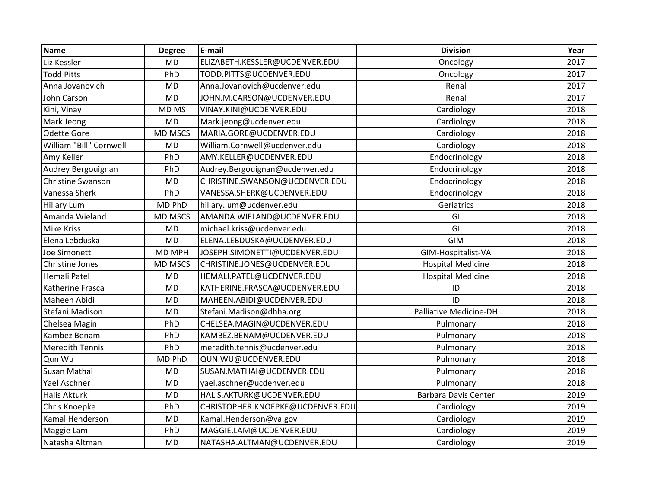| <b>Name</b>             | <b>Degree</b>  | E-mail                           | <b>Division</b>             | Year |
|-------------------------|----------------|----------------------------------|-----------------------------|------|
| Liz Kessler             | <b>MD</b>      | ELIZABETH.KESSLER@UCDENVER.EDU   | Oncology                    | 2017 |
| <b>Todd Pitts</b>       | PhD            | TODD.PITTS@UCDENVER.EDU          | Oncology                    | 2017 |
| Anna Jovanovich         | <b>MD</b>      | Anna.Jovanovich@ucdenver.edu     | Renal                       | 2017 |
| John Carson             | <b>MD</b>      | JOHN.M.CARSON@UCDENVER.EDU       | Renal                       | 2017 |
| Kini, Vinay             | MD MS          | VINAY.KINI@UCDENVER.EDU          | Cardiology                  | 2018 |
| Mark Jeong              | <b>MD</b>      | Mark.jeong@ucdenver.edu          | Cardiology                  | 2018 |
| Odette Gore             | <b>MD MSCS</b> | MARIA.GORE@UCDENVER.EDU          | Cardiology                  | 2018 |
| William "Bill" Cornwell | <b>MD</b>      | William.Cornwell@ucdenver.edu    | Cardiology                  | 2018 |
| Amy Keller              | PhD            | AMY.KELLER@UCDENVER.EDU          | Endocrinology               | 2018 |
| Audrey Bergouignan      | PhD            | Audrey.Bergouignan@ucdenver.edu  | Endocrinology               | 2018 |
| Christine Swanson       | <b>MD</b>      | CHRISTINE.SWANSON@UCDENVER.EDU   | Endocrinology               | 2018 |
| Vanessa Sherk           | PhD            | VANESSA.SHERK@UCDENVER.EDU       | Endocrinology               | 2018 |
| <b>Hillary Lum</b>      | MD PhD         | hillary.lum@ucdenver.edu         | Geriatrics                  | 2018 |
| Amanda Wieland          | <b>MD MSCS</b> | AMANDA.WIELAND@UCDENVER.EDU      | GI                          | 2018 |
| <b>Mike Kriss</b>       | <b>MD</b>      | michael.kriss@ucdenver.edu       | GI                          | 2018 |
| Elena Lebduska          | <b>MD</b>      | ELENA.LEBDUSKA@UCDENVER.EDU      | <b>GIM</b>                  | 2018 |
| Joe Simonetti           | MD MPH         | JOSEPH.SIMONETTI@UCDENVER.EDU    | GIM-Hospitalist-VA          | 2018 |
| Christine Jones         | <b>MD MSCS</b> | CHRISTINE.JONES@UCDENVER.EDU     | <b>Hospital Medicine</b>    | 2018 |
| Hemali Patel            | <b>MD</b>      | HEMALI.PATEL@UCDENVER.EDU        | <b>Hospital Medicine</b>    | 2018 |
| Katherine Frasca        | <b>MD</b>      | KATHERINE.FRASCA@UCDENVER.EDU    | ID                          | 2018 |
| Maheen Abidi            | <b>MD</b>      | MAHEEN.ABIDI@UCDENVER.EDU        | ID                          | 2018 |
| Stefani Madison         | <b>MD</b>      | Stefani.Madison@dhha.org         | Palliative Medicine-DH      | 2018 |
| Chelsea Magin           | PhD            | CHELSEA.MAGIN@UCDENVER.EDU       | Pulmonary                   | 2018 |
| Kambez Benam            | PhD            | KAMBEZ.BENAM@UCDENVER.EDU        | Pulmonary                   | 2018 |
| <b>Meredith Tennis</b>  | PhD            | meredith.tennis@ucdenver.edu     | Pulmonary                   | 2018 |
| Qun Wu                  | MD PhD         | QUN.WU@UCDENVER.EDU              | Pulmonary                   | 2018 |
| Susan Mathai            | <b>MD</b>      | SUSAN.MATHAI@UCDENVER.EDU        | Pulmonary                   | 2018 |
| <b>Yael Aschner</b>     | <b>MD</b>      | yael.aschner@ucdenver.edu        | Pulmonary                   | 2018 |
| <b>Halis Akturk</b>     | <b>MD</b>      | HALIS.AKTURK@UCDENVER.EDU        | <b>Barbara Davis Center</b> | 2019 |
| Chris Knoepke           | PhD            | CHRISTOPHER.KNOEPKE@UCDENVER.EDU | Cardiology                  | 2019 |
| Kamal Henderson         | <b>MD</b>      | Kamal.Henderson@va.gov           | Cardiology                  | 2019 |
| Maggie Lam              | PhD            | MAGGIE.LAM@UCDENVER.EDU          | Cardiology                  | 2019 |
| Natasha Altman          | <b>MD</b>      | NATASHA.ALTMAN@UCDENVER.EDU      | Cardiology                  | 2019 |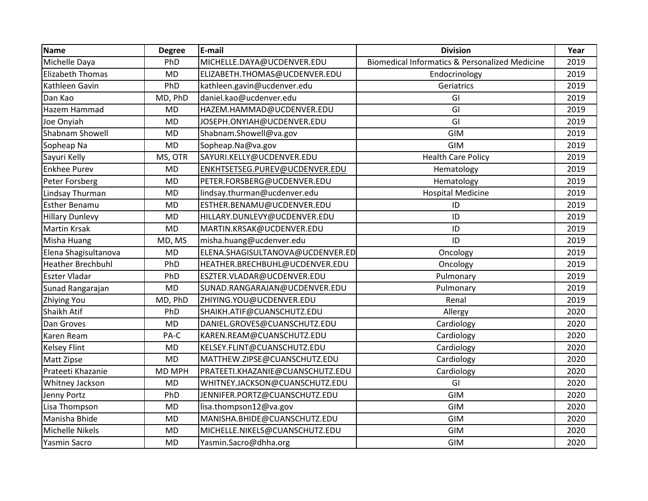| <b>Name</b>              | <b>Degree</b> | E-mail                           | <b>Division</b>                                           | Year |
|--------------------------|---------------|----------------------------------|-----------------------------------------------------------|------|
| Michelle Daya            | PhD           | MICHELLE.DAYA@UCDENVER.EDU       | <b>Biomedical Informatics &amp; Personalized Medicine</b> | 2019 |
| <b>Elizabeth Thomas</b>  | <b>MD</b>     | ELIZABETH.THOMAS@UCDENVER.EDU    | Endocrinology                                             | 2019 |
| Kathleen Gavin           | PhD           | kathleen.gavin@ucdenver.edu      | Geriatrics                                                | 2019 |
| Dan Kao                  | MD, PhD       | daniel.kao@ucdenver.edu          | GI                                                        | 2019 |
| Hazem Hammad             | <b>MD</b>     | HAZEM.HAMMAD@UCDENVER.EDU        | GI                                                        | 2019 |
| Joe Onyiah               | <b>MD</b>     | JOSEPH.ONYIAH@UCDENVER.EDU       | GI                                                        | 2019 |
| Shabnam Showell          | <b>MD</b>     | Shabnam.Showell@va.gov           | <b>GIM</b>                                                | 2019 |
| Sopheap Na               | <b>MD</b>     | Sopheap.Na@va.gov                | <b>GIM</b>                                                | 2019 |
| Sayuri Kelly             | MS, OTR       | SAYURI.KELLY@UCDENVER.EDU        | <b>Health Care Policy</b>                                 | 2019 |
| <b>Enkhee Purev</b>      | <b>MD</b>     | ENKHTSETSEG.PUREV@UCDENVER.EDU   | Hematology                                                | 2019 |
| Peter Forsberg           | <b>MD</b>     | PETER.FORSBERG@UCDENVER.EDU      | Hematology                                                | 2019 |
| Lindsay Thurman          | <b>MD</b>     | lindsay.thurman@ucdenver.edu     | <b>Hospital Medicine</b>                                  | 2019 |
| <b>Esther Benamu</b>     | <b>MD</b>     | ESTHER.BENAMU@UCDENVER.EDU       | ID                                                        | 2019 |
| <b>Hillary Dunlevy</b>   | <b>MD</b>     | HILLARY.DUNLEVY@UCDENVER.EDU     | ID                                                        | 2019 |
| <b>Martin Krsak</b>      | <b>MD</b>     | MARTIN.KRSAK@UCDENVER.EDU        | ID                                                        | 2019 |
| Misha Huang              | MD, MS        | misha.huang@ucdenver.edu         | ID                                                        | 2019 |
| Elena Shagisultanova     | <b>MD</b>     | ELENA.SHAGISULTANOVA@UCDENVER.ED | Oncology                                                  | 2019 |
| <b>Heather Brechbuhl</b> | PhD           | HEATHER.BRECHBUHL@UCDENVER.EDU   | Oncology                                                  | 2019 |
| Eszter Vladar            | PhD           | ESZTER.VLADAR@UCDENVER.EDU       | Pulmonary                                                 | 2019 |
| Sunad Rangarajan         | <b>MD</b>     | SUNAD.RANGARAJAN@UCDENVER.EDU    | Pulmonary                                                 | 2019 |
| Zhiying You              | MD, PhD       | ZHIYING.YOU@UCDENVER.EDU         | Renal                                                     | 2019 |
| Shaikh Atif              | PhD           | SHAIKH.ATIF@CUANSCHUTZ.EDU       | Allergy                                                   | 2020 |
| Dan Groves               | <b>MD</b>     | DANIEL.GROVES@CUANSCHUTZ.EDU     | Cardiology                                                | 2020 |
| Karen Ream               | PA-C          | KAREN.REAM@CUANSCHUTZ.EDU        | Cardiology                                                | 2020 |
| <b>Kelsey Flint</b>      | <b>MD</b>     | KELSEY.FLINT@CUANSCHUTZ.EDU      | Cardiology                                                | 2020 |
| Matt Zipse               | <b>MD</b>     | MATTHEW.ZIPSE@CUANSCHUTZ.EDU     | Cardiology                                                | 2020 |
| Prateeti Khazanie        | MD MPH        | PRATEETI.KHAZANIE@CUANSCHUTZ.EDU | Cardiology                                                | 2020 |
| Whitney Jackson          | <b>MD</b>     | WHITNEY.JACKSON@CUANSCHUTZ.EDU   | GI                                                        | 2020 |
| Jenny Portz              | PhD           | JENNIFER.PORTZ@CUANSCHUTZ.EDU    | <b>GIM</b>                                                | 2020 |
| Lisa Thompson            | <b>MD</b>     | lisa.thompson12@va.gov           | <b>GIM</b>                                                | 2020 |
| Manisha Bhide            | <b>MD</b>     | MANISHA.BHIDE@CUANSCHUTZ.EDU     | <b>GIM</b>                                                | 2020 |
| Michelle Nikels          | <b>MD</b>     | MICHELLE.NIKELS@CUANSCHUTZ.EDU   | <b>GIM</b>                                                | 2020 |
| Yasmin Sacro             | <b>MD</b>     | Yasmin.Sacro@dhha.org            | GIM                                                       | 2020 |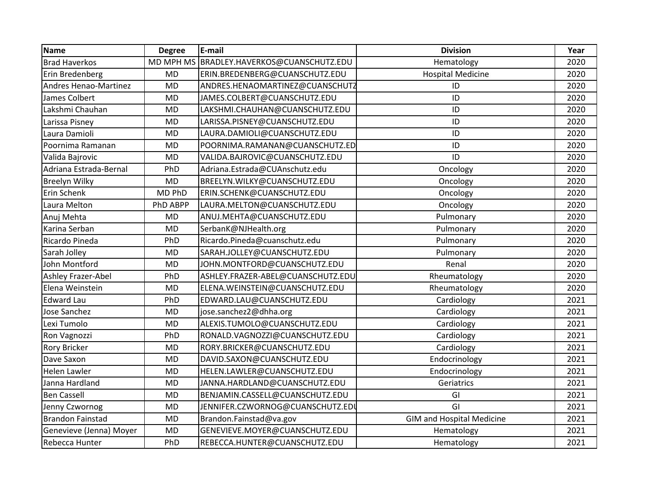| <b>Name</b>                  | <b>Degree</b> | E-mail                            | <b>Division</b>                  | Year |
|------------------------------|---------------|-----------------------------------|----------------------------------|------|
| <b>Brad Haverkos</b>         | MD MPH MS     | BRADLEY.HAVERKOS@CUANSCHUTZ.EDU   | Hematology                       | 2020 |
| Erin Bredenberg              | <b>MD</b>     | ERIN.BREDENBERG@CUANSCHUTZ.EDU    | <b>Hospital Medicine</b>         | 2020 |
| <b>Andres Henao-Martinez</b> | <b>MD</b>     | ANDRES.HENAOMARTINEZ@CUANSCHUTZ   | ID                               | 2020 |
| James Colbert                | <b>MD</b>     | JAMES.COLBERT@CUANSCHUTZ.EDU      | ID                               | 2020 |
| Lakshmi Chauhan              | <b>MD</b>     | LAKSHMI.CHAUHAN@CUANSCHUTZ.EDU    | ID                               | 2020 |
| Larissa Pisney               | <b>MD</b>     | LARISSA.PISNEY@CUANSCHUTZ.EDU     | ID                               | 2020 |
| Laura Damioli                | <b>MD</b>     | LAURA.DAMIOLI@CUANSCHUTZ.EDU      | ID                               | 2020 |
| Poornima Ramanan             | <b>MD</b>     | POORNIMA.RAMANAN@CUANSCHUTZ.ED    | ID                               | 2020 |
| Valida Bajrovic              | <b>MD</b>     | VALIDA.BAJROVIC@CUANSCHUTZ.EDU    | ID                               | 2020 |
| Adriana Estrada-Bernal       | PhD           | Adriana.Estrada@CUAnschutz.edu    | Oncology                         | 2020 |
| <b>Breelyn Wilky</b>         | <b>MD</b>     | BREELYN.WILKY@CUANSCHUTZ.EDU      | Oncology                         | 2020 |
| Erin Schenk                  | MD PhD        | ERIN.SCHENK@CUANSCHUTZ.EDU        | Oncology                         | 2020 |
| Laura Melton                 | PhD ABPP      | LAURA.MELTON@CUANSCHUTZ.EDU       | Oncology                         | 2020 |
| Anuj Mehta                   | <b>MD</b>     | ANUJ.MEHTA@CUANSCHUTZ.EDU         | Pulmonary                        | 2020 |
| Karina Serban                | <b>MD</b>     | SerbanK@NJHealth.org              | Pulmonary                        | 2020 |
| Ricardo Pineda               | PhD           | Ricardo.Pineda@cuanschutz.edu     | Pulmonary                        | 2020 |
| Sarah Jolley                 | <b>MD</b>     | SARAH.JOLLEY@CUANSCHUTZ.EDU       | Pulmonary                        | 2020 |
| John Montford                | <b>MD</b>     | JOHN.MONTFORD@CUANSCHUTZ.EDU      | Renal                            | 2020 |
| Ashley Frazer-Abel           | PhD           | ASHLEY.FRAZER-ABEL@CUANSCHUTZ.EDU | Rheumatology                     | 2020 |
| Elena Weinstein              | <b>MD</b>     | ELENA.WEINSTEIN@CUANSCHUTZ.EDU    | Rheumatology                     | 2020 |
| <b>Edward Lau</b>            | PhD           | EDWARD.LAU@CUANSCHUTZ.EDU         | Cardiology                       | 2021 |
| Jose Sanchez                 | <b>MD</b>     | jose.sanchez2@dhha.org            | Cardiology                       | 2021 |
| Lexi Tumolo                  | <b>MD</b>     | ALEXIS.TUMOLO@CUANSCHUTZ.EDU      | Cardiology                       | 2021 |
| Ron Vagnozzi                 | PhD           | RONALD.VAGNOZZI@CUANSCHUTZ.EDU    | Cardiology                       | 2021 |
| <b>Rory Bricker</b>          | <b>MD</b>     | RORY.BRICKER@CUANSCHUTZ.EDU       | Cardiology                       | 2021 |
| Dave Saxon                   | <b>MD</b>     | DAVID.SAXON@CUANSCHUTZ.EDU        | Endocrinology                    | 2021 |
| <b>Helen Lawler</b>          | <b>MD</b>     | HELEN.LAWLER@CUANSCHUTZ.EDU       | Endocrinology                    | 2021 |
| Janna Hardland               | <b>MD</b>     | JANNA.HARDLAND@CUANSCHUTZ.EDU     | Geriatrics                       | 2021 |
| <b>Ben Cassell</b>           | <b>MD</b>     | BENJAMIN.CASSELL@CUANSCHUTZ.EDU   | GI                               | 2021 |
| Jenny Czwornog               | <b>MD</b>     | JENNIFER.CZWORNOG@CUANSCHUTZ.EDU  | GI                               | 2021 |
| <b>Brandon Fainstad</b>      | <b>MD</b>     | Brandon.Fainstad@va.gov           | <b>GIM and Hospital Medicine</b> | 2021 |
| Genevieve (Jenna) Moyer      | <b>MD</b>     | GENEVIEVE.MOYER@CUANSCHUTZ.EDU    | Hematology                       | 2021 |
| Rebecca Hunter               | PhD           | REBECCA.HUNTER@CUANSCHUTZ.EDU     | Hematology                       | 2021 |